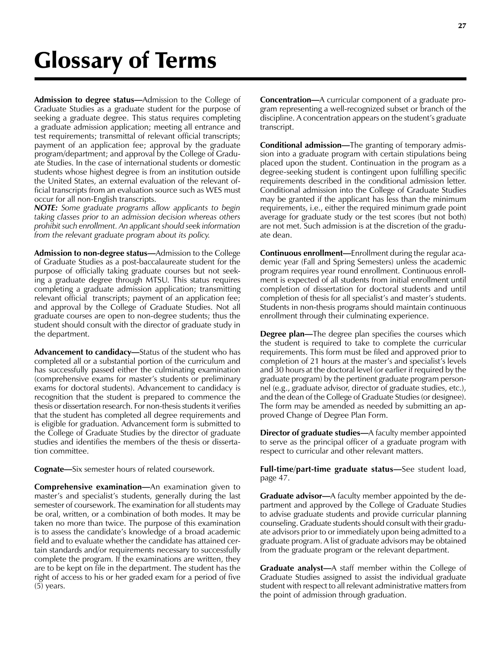**Admission to degree status—**Admission to the College of Graduate Studies as a graduate student for the purpose of seeking a graduate degree. This status requires completing a graduate admission application; meeting all entrance and test requirements; transmittal of relevant official transcripts; payment of an application fee; approval by the graduate program/department; and approval by the College of Graduate Studies. In the case of international students or domestic students whose highest degree is from an institution outside the United States, an external evaluation of the relevant official transcripts from an evaluation source such as WES must occur for all non-English transcripts.

*NOTE: Some graduate programs allow applicants to begin taking classes prior to an admission decision whereas others prohibit such enrollment. An applicant should seek information from the relevant graduate program about its policy.*

**Admission to non-degree status—**Admission to the College of Graduate Studies as a post-baccalaureate student for the purpose of officially taking graduate courses but not seeking a graduate degree through MTSU. This status requires completing a graduate admission application; transmitting relevant official transcripts; payment of an application fee; and approval by the College of Graduate Studies. Not all graduate courses are open to non-degree students; thus the student should consult with the director of graduate study in the department.

**Advancement to candidacy—**Status of the student who has completed all or a substantial portion of the curriculum and has successfully passed either the culminating examination (comprehensive exams for master's students or preliminary exams for doctoral students). Advancement to candidacy is recognition that the student is prepared to commence the thesis or dissertation research. For non-thesis students it verifies that the student has completed all degree requirements and is eligible for graduation. Advancement form is submitted to the College of Graduate Studies by the director of graduate studies and identifies the members of the thesis or dissertation committee.

**Cognate—**Six semester hours of related coursework.

**Comprehensive examination—**An examination given to master's and specialist's students, generally during the last semester of coursework. The examination for all students may be oral, written, or a combination of both modes. It may be taken no more than twice. The purpose of this examination is to assess the candidate's knowledge of a broad academic field and to evaluate whether the candidate has attained certain standards and/or requirements necessary to successfully complete the program. If the examinations are written, they are to be kept on file in the department. The student has the right of access to his or her graded exam for a period of five (5) years.

**Concentration—**A curricular component of a graduate program representing a well-recognized subset or branch of the discipline. A concentration appears on the student's graduate transcript.

**Conditional admission—**The granting of temporary admission into a graduate program with certain stipulations being placed upon the student. Continuation in the program as a degree-seeking student is contingent upon fulfilling specific requirements described in the conditional admission letter. Conditional admission into the College of Graduate Studies may be granted if the applicant has less than the minimum requirements, i.e., either the required minimum grade point average for graduate study or the test scores (but not both) are not met. Such admission is at the discretion of the graduate dean.

**Continuous enrollment—**Enrollment during the regular academic year (Fall and Spring Semesters) unless the academic program requires year round enrollment. Continuous enrollment is expected of all students from initial enrollment until completion of dissertation for doctoral students and until completion of thesis for all specialist's and master's students. Students in non-thesis programs should maintain continuous enrollment through their culminating experience.

**Degree plan—**The degree plan specifies the courses which the student is required to take to complete the curricular requirements. This form must be filed and approved prior to completion of 21 hours at the master's and specialist's levels and 30 hours at the doctoral level (or earlier if required by the graduate program) by the pertinent graduate program personnel (e.g., graduate advisor, director of graduate studies, etc.), and the dean of the College of Graduate Studies (or designee). The form may be amended as needed by submitting an approved Change of Degree Plan Form.

**Director of graduate studies—**A faculty member appointed to serve as the principal officer of a graduate program with respect to curricular and other relevant matters.

**Full-time/part-time graduate status—**See student load, page 47.

**Graduate advisor—**A faculty member appointed by the department and approved by the College of Graduate Studies to advise graduate students and provide curricular planning counseling. Graduate students should consult with their graduate advisors prior to or immediately upon being admitted to a graduate program. A list of graduate advisors may be obtained from the graduate program or the relevant department.

**Graduate analyst—**A staff member within the College of Graduate Studies assigned to assist the individual graduate student with respect to all relevant administrative matters from the point of admission through graduation.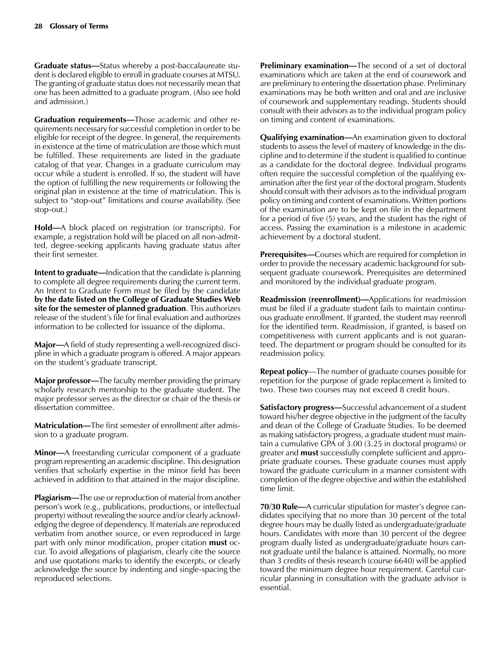**Graduate status—**Status whereby a post-baccalaureate student is declared eligible to enroll in graduate courses at MTSU. The granting of graduate status does not necessarily mean that one has been admitted to a graduate program. (Also see hold and admission.)

**Graduation requirements—**Those academic and other requirements necessary for successful completion in order to be eligible for receipt of the degree. In general, the requirements in existence at the time of matriculation are those which must be fulfilled. These requirements are listed in the graduate catalog of that year. Changes in a graduate curriculum may occur while a student is enrolled. If so, the student will have the option of fulfilling the new requirements or following the original plan in existence at the time of matriculation. This is subject to "stop-out" limitations and course availability. (See stop-out.)

**Hold—**A block placed on registration (or transcripts). For example, a registration hold will be placed on all non-admitted, degree-seeking applicants having graduate status after their first semester.

**Intent to graduate—**Indication that the candidate is planning to complete all degree requirements during the current term. An Intent to Graduate Form must be filed by the candidate **by the date listed on the College of Graduate Studies Web site for the semester of planned graduation**. This authorizes release of the student's file for final evaluation and authorizes information to be collected for issuance of the diploma.

**Major—**A field of study representing a well-recognized discipline in which a graduate program is offered. A major appears on the student's graduate transcript.

**Major professor—**The faculty member providing the primary scholarly research mentorship to the graduate student. The major professor serves as the director or chair of the thesis or dissertation committee.

**Matriculation—**The first semester of enrollment after admission to a graduate program.

**Minor—**A freestanding curricular component of a graduate program representing an academic discipline. This designation verifies that scholarly expertise in the minor field has been achieved in addition to that attained in the major discipline.

**Plagiarism—**The use or reproduction of material from another person's work (e.g., publications, productions, or intellectual property) without revealing the source and/or clearly acknowledging the degree of dependency. If materials are reproduced verbatim from another source, or even reproduced in large part with only minor modification, proper citation **must** occur. To avoid allegations of plagiarism, clearly cite the source and use quotations marks to identify the excerpts, or clearly acknowledge the source by indenting and single-spacing the reproduced selections.

**Preliminary examination—**The second of a set of doctoral examinations which are taken at the end of coursework and are preliminary to entering the dissertation phase. Preliminary examinations may be both written and oral and are inclusive of coursework and supplementary readings. Students should consult with their advisors as to the individual program policy on timing and content of examinations.

**Qualifying examination—**An examination given to doctoral students to assess the level of mastery of knowledge in the discipline and to determine if the student is qualified to continue as a candidate for the doctoral degree. Individual programs often require the successful completion of the qualifying examination after the first year of the doctoral program. Students should consult with their advisors as to the individual program policy on timing and content of examinations. Written portions of the examination are to be kept on file in the department for a period of five (5) years, and the student has the right of access. Passing the examination is a milestone in academic achievement by a doctoral student.

**Prerequisites—**Courses which are required for completion in order to provide the necessary academic background for subsequent graduate coursework. Prerequisites are determined and monitored by the individual graduate program.

**Readmission (reenrollment)—**Applications for readmission must be filed if a graduate student fails to maintain continuous graduate enrollment. If granted, the student may reenroll for the identified term. Readmission, if granted, is based on competitiveness with current applicants and is not guaranteed. The department or program should be consulted for its readmission policy.

**Repeat policy**—The number of graduate courses possible for repetition for the purpose of grade replacement is limited to two. These two courses may not exceed 8 credit hours.

**Satisfactory progress—**Successful advancement of a student toward his/her degree objective in the judgment of the faculty and dean of the College of Graduate Studies. To be deemed as making satisfactory progress, a graduate student must maintain a cumulative GPA of 3.00 (3.25 in doctoral programs) or greater and **must** successfully complete sufficient and appropriate graduate courses. These graduate courses must apply toward the graduate curriculum in a manner consistent with completion of the degree objective and within the established time limit.

**70/30 Rule—**A curricular stipulation for master's degree candidates specifying that no more than 30 percent of the total degree hours may be dually listed as undergraduate/graduate hours. Candidates with more than 30 percent of the degree program dually listed as undergraduate/graduate hours cannot graduate until the balance is attained. Normally, no more than 3 credits of thesis research (course 6640) will be applied toward the minimum degree hour requirement. Careful curricular planning in consultation with the graduate advisor is essential.